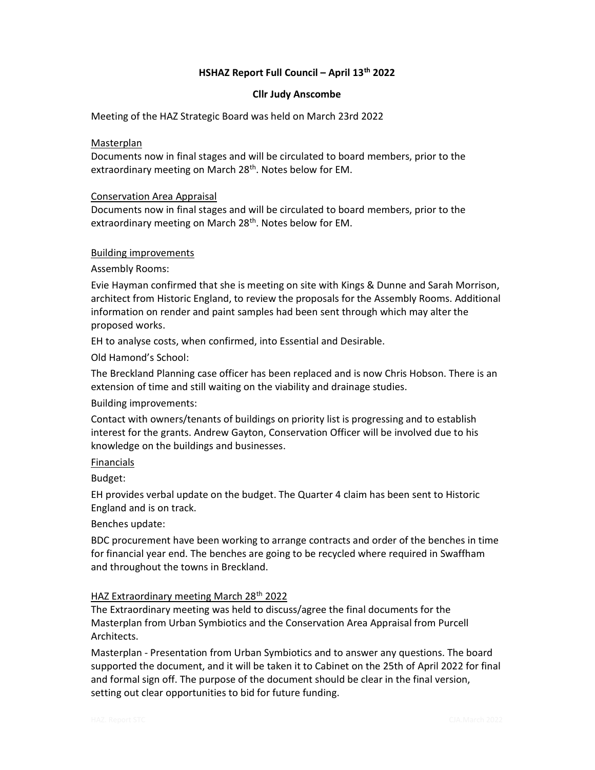# HSHAZ Report Full Council – April 13th 2022

### Cllr Judy Anscombe

Meeting of the HAZ Strategic Board was held on March 23rd 2022

## Masterplan

Documents now in final stages and will be circulated to board members, prior to the extraordinary meeting on March 28<sup>th</sup>. Notes below for EM.

## Conservation Area Appraisal

Documents now in final stages and will be circulated to board members, prior to the extraordinary meeting on March 28<sup>th</sup>. Notes below for EM.

## Building improvements

Assembly Rooms:

Evie Hayman confirmed that she is meeting on site with Kings & Dunne and Sarah Morrison, architect from Historic England, to review the proposals for the Assembly Rooms. Additional information on render and paint samples had been sent through which may alter the proposed works.

EH to analyse costs, when confirmed, into Essential and Desirable.

Old Hamond's School:

The Breckland Planning case officer has been replaced and is now Chris Hobson. There is an extension of time and still waiting on the viability and drainage studies.

Building improvements:

Contact with owners/tenants of buildings on priority list is progressing and to establish interest for the grants. Andrew Gayton, Conservation Officer will be involved due to his knowledge on the buildings and businesses.

# Financials

Budget:

EH provides verbal update on the budget. The Quarter 4 claim has been sent to Historic England and is on track.

Benches update:

BDC procurement have been working to arrange contracts and order of the benches in time for financial year end. The benches are going to be recycled where required in Swaffham and throughout the towns in Breckland.

# HAZ Extraordinary meeting March 28th 2022

The Extraordinary meeting was held to discuss/agree the final documents for the Masterplan from Urban Symbiotics and the Conservation Area Appraisal from Purcell Architects.

Masterplan - Presentation from Urban Symbiotics and to answer any questions. The board supported the document, and it will be taken it to Cabinet on the 25th of April 2022 for final and formal sign off. The purpose of the document should be clear in the final version, setting out clear opportunities to bid for future funding.